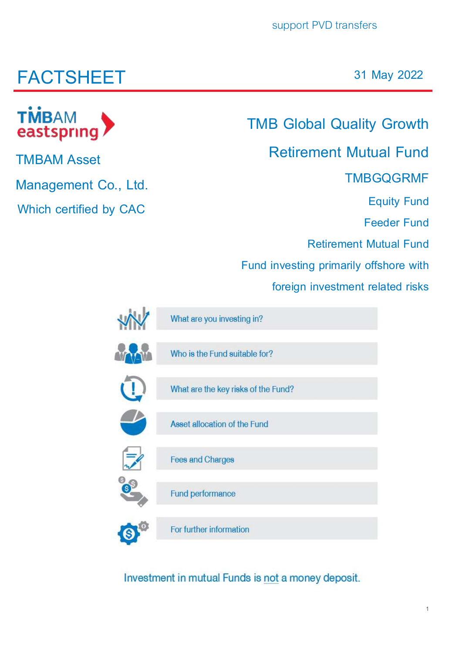# **FACTSHEET**

**TMBAM Asset** 

eastspring

**TMBAM** 

**Management Co., Ltd.**

**Which certified by CAC**

**31 May 2022**

## **TMB Global Quality Growth**

## **Retirement Mutual Fund**

## **TMBGQGRMF**

**Equity Fund**

**Feeder Fund** 

**Retirement Mutual Fund**

**Fund investing primarily offshore with** 

**foreign investment related risks**

| What are you investing in?          |
|-------------------------------------|
| Who is the Fund suitable for?       |
| What are the key risks of the Fund? |
| Asset allocation of the Fund        |
| <b>Fees and Charges</b>             |
| Fund performance                    |
| For further information             |

Investment in mutual Funds is not a money deposit.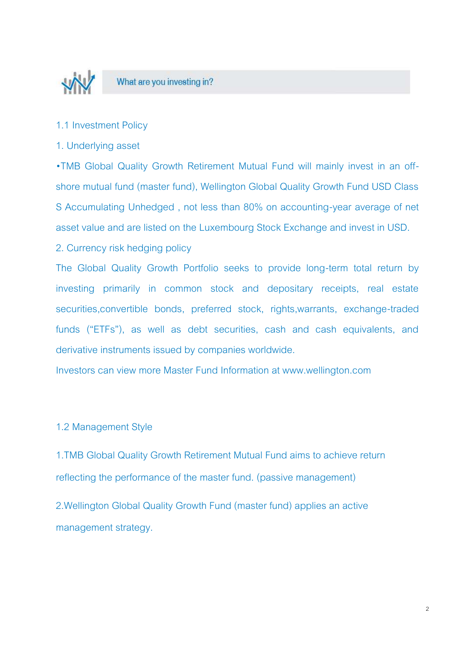

- 1.1 Investment Policy
- 1. Underlying asset

•TMB Global Quality Growth Retirement Mutual Fund will mainly invest in an offshore mutual fund (master fund), Wellington Global Quality Growth Fund USD Class S Accumulating Unhedged , not less than 80% on accounting-year average of net asset value and are listed on the Luxembourg Stock Exchange and invest in USD.

2. Currency risk hedging policy

The Global Quality Growth Portfolio seeks to provide long-term total return by investing primarily in common stock and depositary receipts, real estate securities,convertible bonds, preferred stock, rights,warrants, exchange-traded funds ("ETFs"), as well as debt securities, cash and cash equivalents, and derivative instruments issued by companies worldwide.

Investors can view more Master Fund Information at www.wellington.com

#### 1.2 Management Style

1.TMB Global Quality Growth Retirement Mutual Fund aims to achieve return reflecting the performance of the master fund. (passive management)

2.Wellington Global Quality Growth Fund (master fund) applies an active management strategy.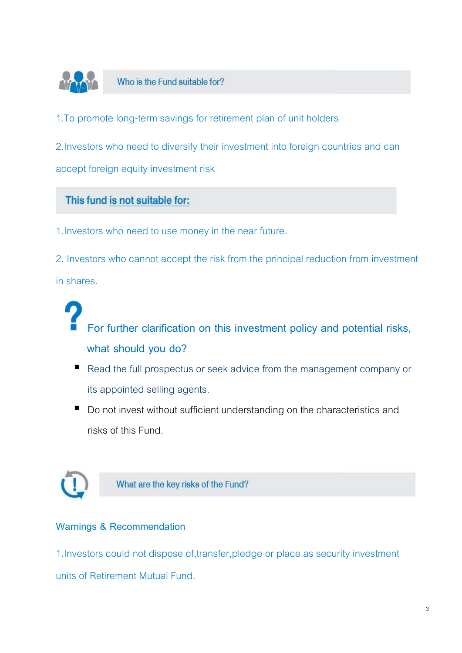

Who is the Fund suitable for?

1.To promote long-term savings for retirement plan of unit holders

2.Investors who need to diversify their investment into foreign countries and can accept foreign equity investment risk

#### This fund is not suitable for:

1.Investors who need to use money in the near future.

2. Investors who cannot accept the risk from the principal reduction from investment in shares.

**For further clarification on this investment policy and potential risks, what should you do?**

- Read the full prospectus or seek advice from the management company or its appointed selling agents.
- Do not invest without sufficient understanding on the characteristics and risks of this Fund.



What are the key risks of the Fund?

#### **Warnings & Recommendation**

1.Investors could not dispose of,transfer,pledge or place as security investment units of Retirement Mutual Fund.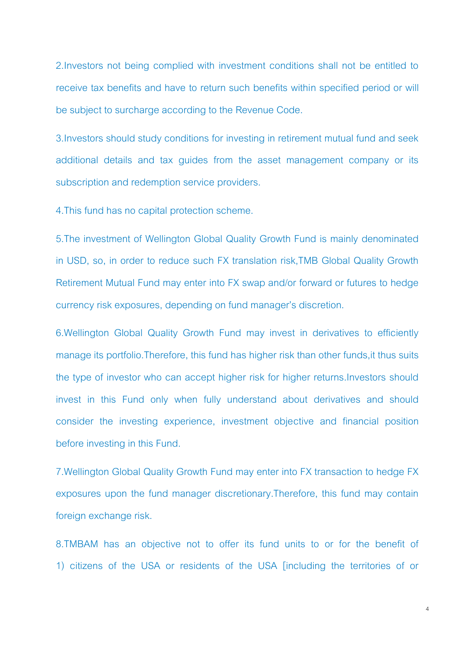2.Investors not being complied with investment conditions shall not be entitled to receive tax benefits and have to return such benefits within specified period or will be subject to surcharge according to the Revenue Code.

3.Investors should study conditions for investing in retirement mutual fund and seek additional details and tax guides from the asset management company or its subscription and redemption service providers.

4.This fund has no capital protection scheme.

5.The investment of Wellington Global Quality Growth Fund is mainly denominated in USD, so, in order to reduce such FX translation risk,TMB Global Quality Growth Retirement Mutual Fund may enter into FX swap and/or forward or futures to hedge currency risk exposures, depending on fund manager's discretion.

6.Wellington Global Quality Growth Fund may invest in derivatives to efficiently manage its portfolio.Therefore, this fund has higher risk than other funds,it thus suits the type of investor who can accept higher risk for higher returns.Investors should invest in this Fund only when fully understand about derivatives and should consider the investing experience, investment objective and financial position before investing in this Fund.

7.Wellington Global Quality Growth Fund may enter into FX transaction to hedge FX exposures upon the fund manager discretionary.Therefore, this fund may contain foreign exchange risk.

8.TMBAM has an objective not to offer its fund units to or for the benefit of 1) citizens of the USA or residents of the USA [including the territories of or

4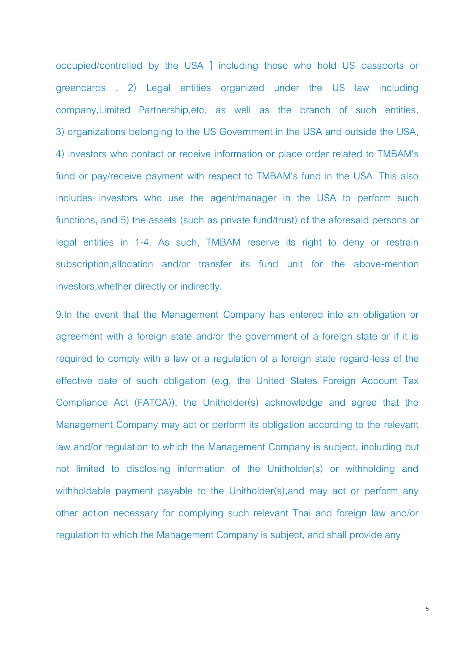occupied/controlled by the USA ] including those who hold US passports or greencards , 2) Legal entities organized under the US law including company,Limited Partnership,etc, as well as the branch of such entities, 3) organizations belonging to the US Government in the USA and outside the USA, 4) investors who contact or receive information or place order related to TMBAM's fund or pay/receive payment with respect to TMBAM's fund in the USA. This also includes investors who use the agent/manager in the USA to perform such functions, and 5) the assets (such as private fund/trust) of the aforesaid persons or legal entities in 1-4. As such, TMBAM reserve its right to deny or restrain subscription,allocation and/or transfer its fund unit for the above-mention investors,whether directly or indirectly.

9.In the event that the Management Company has entered into an obligation or agreement with a foreign state and/or the government of a foreign state or if it is required to comply with a law or a regulation of a foreign state regard-less of the effective date of such obligation (e.g. the United States Foreign Account Tax Compliance Act (FATCA)), the Unitholder(s) acknowledge and agree that the Management Company may act or perform its obligation according to the relevant law and/or regulation to which the Management Company is subject, including but not limited to disclosing information of the Unitholder(s) or withholding and withholdable payment payable to the Unitholder(s),and may act or perform any other action necessary for complying such relevant Thai and foreign law and/or regulation to which the Management Company is subject, and shall provide any

5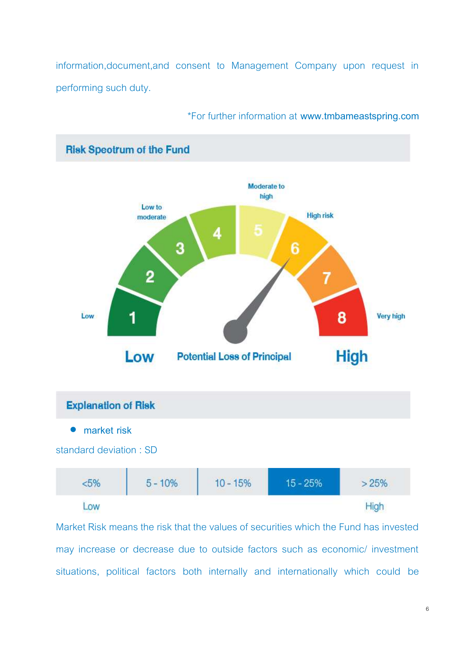information,document,and consent to Management Company upon request in performing such duty.



#### \*For further information at **www.tmbameastspring.com**

Market Risk means the risk that the values of securities which the Fund has invested may increase or decrease due to outside factors such as economic/ investment situations, political factors both internally and internationally which could be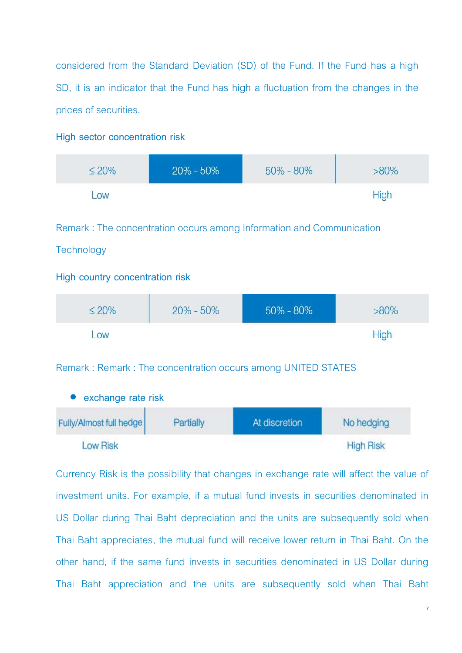considered from the Standard Deviation (SD) of the Fund. If the Fund has a high SD, it is an indicator that the Fund has high a fluctuation from the changes in the prices of securities.

#### **High sector concentration risk**

| $\leq 20\%$ | $20\% - 50\%$ | $50\% - 80\%$ | $>80\%$     |
|-------------|---------------|---------------|-------------|
| <b>LOW</b>  |               |               | <b>High</b> |

Remark : The concentration occurs among Information and Communication

#### **Technology**

#### **High country concentration risk**

| $\leq 20\%$ | $20\% - 50\%$ | 50% - 80% | $>80\%$ |
|-------------|---------------|-----------|---------|
| OW          |               |           |         |

Remark : Remark : The concentration occurs among UNITED STATES

| • exchange rate risk    |           |               |                  |  |  |  |  |
|-------------------------|-----------|---------------|------------------|--|--|--|--|
| Fully/Almost full hedge | Partially | At discretion | No hedging       |  |  |  |  |
| <b>Low Risk</b>         |           |               | <b>High Risk</b> |  |  |  |  |

Currency Risk is the possibility that changes in exchange rate will affect the value of investment units. For example, if a mutual fund invests in securities denominated in US Dollar during Thai Baht depreciation and the units are subsequently sold when Thai Baht appreciates, the mutual fund will receive lower return in Thai Baht. On the other hand, if the same fund invests in securities denominated in US Dollar during Thai Baht appreciation and the units are subsequently sold when Thai Baht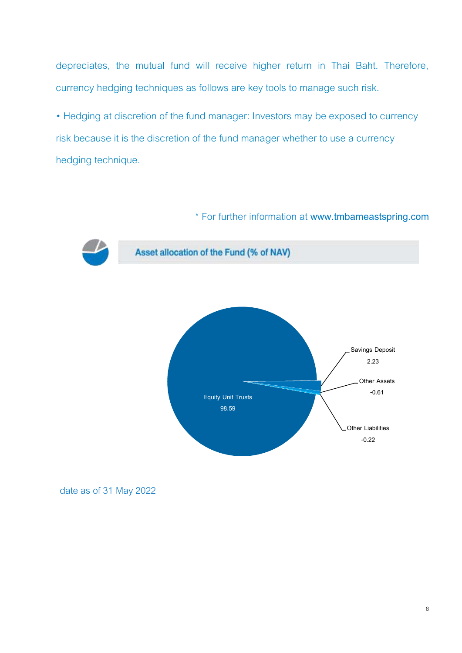depreciates, the mutual fund will receive higher return in Thai Baht. Therefore, currency hedging techniques as follows are key tools to manage such risk.

• Hedging at discretion of the fund manager: Investors may be exposed to currency risk because it is the discretion of the fund manager whether to use a currency hedging technique.

#### \* For further information at **www.tmbameastspring.com**



Asset allocation of the Fund (% of NAV)



date as of 31 May 2022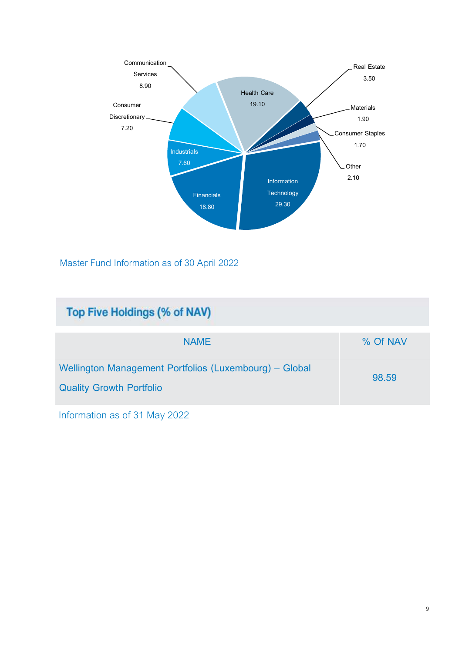

Master Fund Information as of 30 April 2022

| Top Five Holdings (% of NAV)                                                              |          |
|-------------------------------------------------------------------------------------------|----------|
| <b>NAME</b>                                                                               | % Of NAV |
| Wellington Management Portfolios (Luxembourg) - Global<br><b>Quality Growth Portfolio</b> | 98.59    |

Information as of 31 May 2022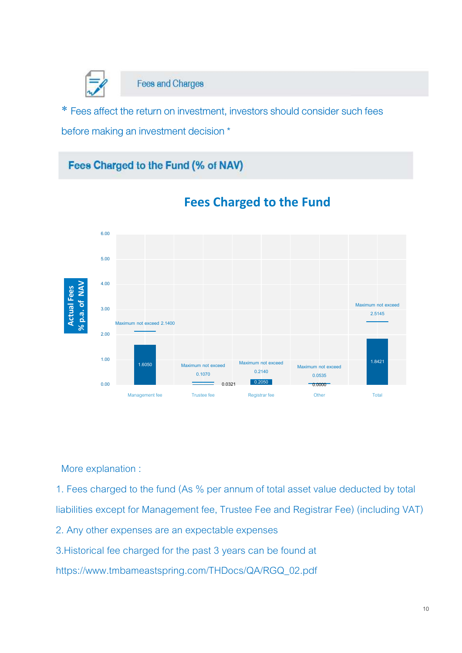

**Fees and Charges** 

\* Fees affect the return on investment, investors should consider such fees before making an investment decision \*

### Fees Charged to the Fund (% of NAV)



## **Fees Charged to the Fund**

More explanation :

1. Fees charged to the fund (As % per annum of total asset value deducted by total liabilities except for Management fee, Trustee Fee and Registrar Fee) (including VAT)

2. Any other expenses are an expectable expenses

3.Historical fee charged for the past 3 years can be found at

https://www.tmbameastspring.com/THDocs/QA/RGQ\_02.pdf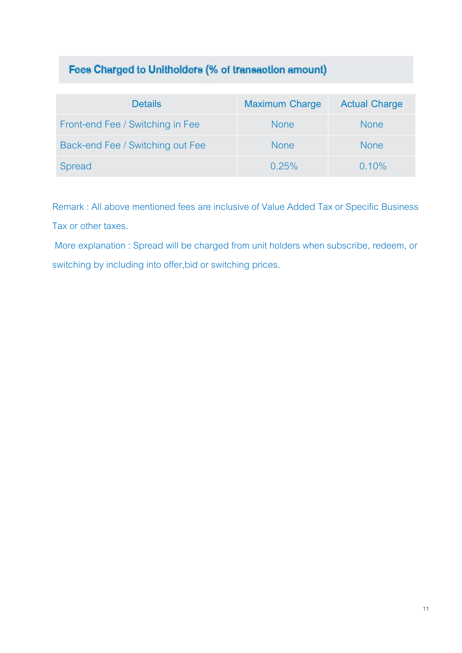## Fees Charged to Unitholders (% of transaction amount)

| <b>Details</b>                   | <b>Maximum Charge</b> | <b>Actual Charge</b> |
|----------------------------------|-----------------------|----------------------|
| Front-end Fee / Switching in Fee | <b>None</b>           | <b>None</b>          |
| Back-end Fee / Switching out Fee | <b>None</b>           | <b>None</b>          |
| Spread                           | 0.25%                 | 0.10%                |

Remark : All above mentioned fees are inclusive of Value Added Tax or Specific Business Tax or other taxes.

More explanation : Spread will be charged from unit holders when subscribe, redeem, or switching by including into offer,bid or switching prices.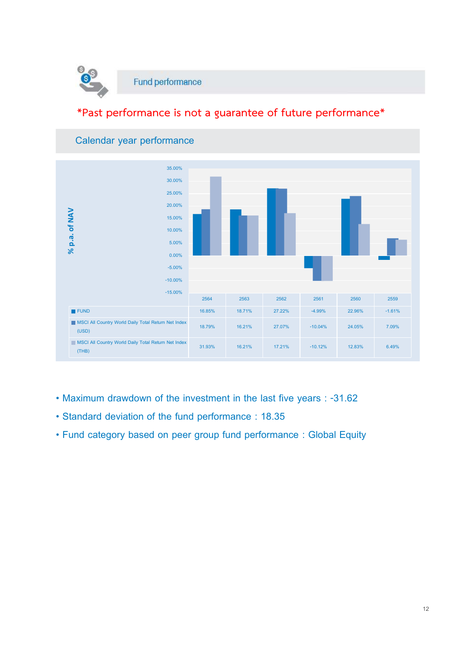

## **\*Past performance is not a guarantee of future performance\***



#### **Calendar year performance**

- **Maximum drawdown of the investment in the last five years : -31.62**
- **Standard deviation of the fund performance : 18.35**
- **Fund category based on peer group fund performance : Global Equity**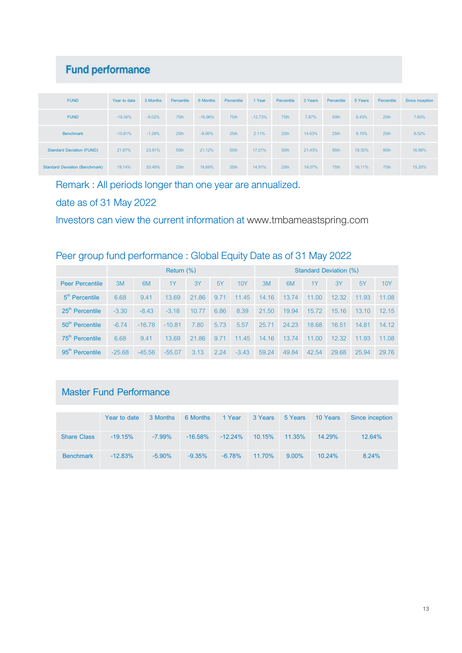## **Fund performance**

| <b>FUND</b>                           | Year to date | 3 Months | Percentile | 6 Months  | Percentile | 1 Year    | Percentile | 3 Years | Percentile | 5 Years | Percentile | Since inception |
|---------------------------------------|--------------|----------|------------|-----------|------------|-----------|------------|---------|------------|---------|------------|-----------------|
| <b>FUND</b>                           | $-19.34%$    | $-8.02%$ | 75th       | $-16.96%$ | 75th       | $-12.73%$ | 75th       | 7.87%   | 50th       | 8.43%   | 25th       | 7.65%           |
| <b>Benchmark</b>                      | $-10.61%$    | $-1.28%$ | 25th       | $-8.06%$  | 25th       | 2.11%     | 25th       | 14.63%  | 25th       | 9.10%   | 25th       | 8.02%           |
| <b>Standard Deviation (FUND)</b>      | 21.87%       | 23.81%   | 50th       | 21.12%    | 50th       | 17.01%    | 50th       | 21.43%  | 95th       | 18.35%  | 95th       | 16.98%          |
| <b>Standard Deviation (Benchmark)</b> | 19.14%       | 20.49%   | 25th       | 18.69%    | 25th       | 14.91%    | 25th       | 19.07%  | 75th       | 16.11%  | 75th       | 15.20%          |

Remark : All periods longer than one year are annualized.

date as of 31 May 2022

Investors can view the current information at [www.tmbameastspring.com](http://www.tmbameastspring.com/)

#### Peer group fund performance : Global Equity Date as of 31 May 2022

|                             | Return $(\%)$ |          |          |       |      |         |       | Standard Deviation (%) |       |       |        |            |
|-----------------------------|---------------|----------|----------|-------|------|---------|-------|------------------------|-------|-------|--------|------------|
| <b>Peer Percentile</b>      | 3M            | 6M       | 1Y       | 3Y    | 5Y   | 10Y     | 3M    | 6 <sub>M</sub>         | 1Y    | 3Y    | 5Y     | <b>10Y</b> |
| $5th$ Percentile            | 6.68          | 9.41     | 13.69    | 21.86 | 9.71 | 11.45   | 14.16 | 13.74                  | 11.00 | 12.32 | 11.93  | 11.08      |
| 25 <sup>th</sup> Percentile | $-3.30$       | $-8.43$  | $-3.18$  | 10.77 | 6.86 | 8.39    | 21.50 | 19.94                  | 15.72 | 15.16 | 13.10  | 12.15      |
| 50 <sup>th</sup> Percentile | $-6.74$       | $-16.78$ | $-10.81$ | 7.80  | 5.73 | 5.57    | 25.71 | 24.23                  | 18.68 | 16.51 | -14.81 | 14.12      |
| 75 <sup>th</sup> Percentile | 6.68          | 9.41     | 13.69    | 21.86 | 9.71 | 11.45   | 14.16 | 13.74                  | 11.00 | 12.32 | 11.93  | 11.08      |
| $95th$ Percentile           | $-25.68$      | $-45.56$ | $-55.07$ | 3.13  | 2.24 | $-3.43$ | 59.24 | 49.84                  | 42.54 | 29.68 | 25.94  | 29.76      |

## **Master Fund Performance**

|                    | Year to date | 3 Months  | 6 Months   | 1 Year     | 3 Years | 5 Years  | 10 Years  | Since inception |
|--------------------|--------------|-----------|------------|------------|---------|----------|-----------|-----------------|
| <b>Share Class</b> | $-19.15\%$   | $-7.99\%$ | $-16.58\%$ | $-12.24\%$ | 10.15%  | 11.35%   | $14.29\%$ | 12.64%          |
| <b>Benchmark</b>   | $-12.83\%$   | $-5.90\%$ | $-9.35%$   | $-6.78%$   | 11.70%  | $9.00\%$ | $10.24\%$ | 8.24%           |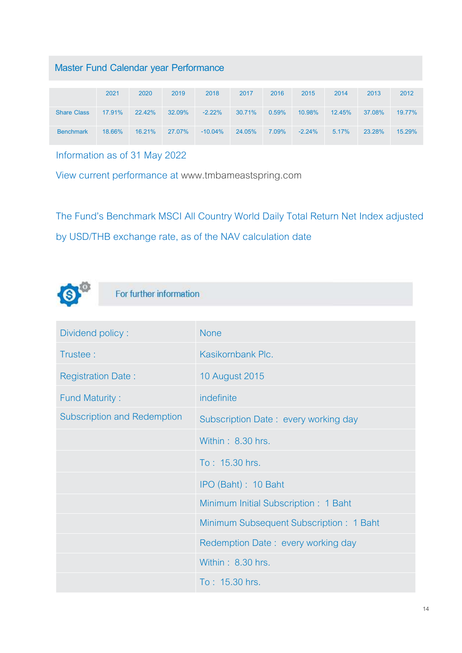## **Master Fund Calendar year Performance**

|                    | 2021   | 2020   | 2019   | 2018       | 2017   | 2016  | 2015     | 2014   | 2013   | 2012   |
|--------------------|--------|--------|--------|------------|--------|-------|----------|--------|--------|--------|
| <b>Share Class</b> | 17.91% | 22.42% | 32.09% | $-2.22%$   | 30.71% | 0.59% | 10.98%   | 12.45% | 37.08% | 19.77% |
| <b>Benchmark</b>   | 18.66% | 16.21% | 27.07% | $-10.04\%$ | 24.05% | 7.09% | $-2.24%$ | 5.17%  | 23.28% | 15.29% |

Information as of 31 May 2022

View current performance at [www.tmbameastspring.com](http://www.tmbameastspring.com/)

The Fund's Benchmark MSCI All Country World Daily Total Return Net Index adjusted by USD/THB exchange rate, as of the NAV calculation date



## For further information

| Dividend policy:                   | <b>None</b>                             |
|------------------------------------|-----------------------------------------|
| Trustee:                           | Kasikornbank Plc.                       |
| <b>Registration Date:</b>          | <b>10 August 2015</b>                   |
| <b>Fund Maturity:</b>              | indefinite                              |
| <b>Subscription and Redemption</b> | Subscription Date: every working day    |
|                                    | Within: 8.30 hrs.                       |
|                                    | To: 15.30 hrs.                          |
|                                    | IPO (Baht): 10 Baht                     |
|                                    | Minimum Initial Subscription: 1 Baht    |
|                                    | Minimum Subsequent Subscription: 1 Baht |
|                                    | Redemption Date: every working day      |
|                                    | Within: 8.30 hrs.                       |
|                                    | To: 15.30 hrs.                          |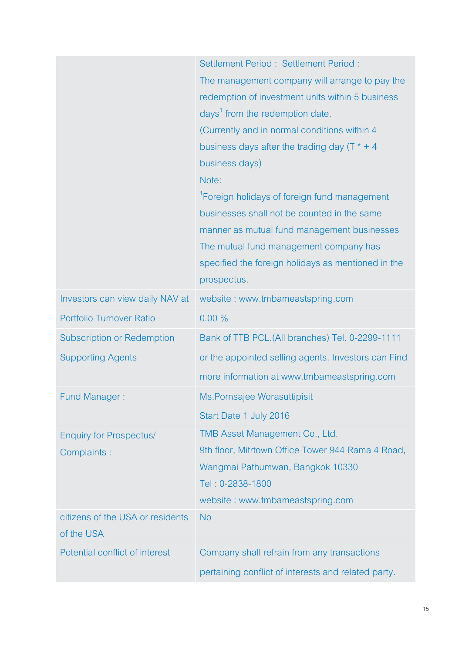|                                                | Settlement Period: Settlement Period:<br>The management company will arrange to pay the<br>redemption of investment units within 5 business<br>days <sup>1</sup> from the redemption date.<br>(Currently and in normal conditions within 4<br>business days after the trading day $(T^* + 4)$<br>business days)<br>Note:<br><sup>1</sup> Foreign holidays of foreign fund management<br>businesses shall not be counted in the same<br>manner as mutual fund management businesses<br>The mutual fund management company has<br>specified the foreign holidays as mentioned in the<br>prospectus. |
|------------------------------------------------|---------------------------------------------------------------------------------------------------------------------------------------------------------------------------------------------------------------------------------------------------------------------------------------------------------------------------------------------------------------------------------------------------------------------------------------------------------------------------------------------------------------------------------------------------------------------------------------------------|
| Investors can view daily NAV at                | website: www.tmbameastspring.com                                                                                                                                                                                                                                                                                                                                                                                                                                                                                                                                                                  |
| Portfolio Turnover Ratio                       | 0.00%                                                                                                                                                                                                                                                                                                                                                                                                                                                                                                                                                                                             |
| <b>Subscription or Redemption</b>              | Bank of TTB PCL.(All branches) Tel. 0-2299-1111                                                                                                                                                                                                                                                                                                                                                                                                                                                                                                                                                   |
| <b>Supporting Agents</b>                       | or the appointed selling agents. Investors can Find                                                                                                                                                                                                                                                                                                                                                                                                                                                                                                                                               |
|                                                | more information at www.tmbameastspring.com                                                                                                                                                                                                                                                                                                                                                                                                                                                                                                                                                       |
| <b>Fund Manager:</b>                           | Ms.Pornsajee Worasuttipisit                                                                                                                                                                                                                                                                                                                                                                                                                                                                                                                                                                       |
|                                                | Start Date 1 July 2016                                                                                                                                                                                                                                                                                                                                                                                                                                                                                                                                                                            |
| <b>Enquiry for Prospectus/</b><br>Complaints:  | TMB Asset Management Co., Ltd.<br>9th floor, Mitrtown Office Tower 944 Rama 4 Road,<br>Wangmai Pathumwan, Bangkok 10330<br>Tel: 0-2838-1800<br>website: www.tmbameastspring.com                                                                                                                                                                                                                                                                                                                                                                                                                   |
| citizens of the USA or residents<br>of the USA | <b>No</b>                                                                                                                                                                                                                                                                                                                                                                                                                                                                                                                                                                                         |
| Potential conflict of interest                 | Company shall refrain from any transactions<br>pertaining conflict of interests and related party.                                                                                                                                                                                                                                                                                                                                                                                                                                                                                                |